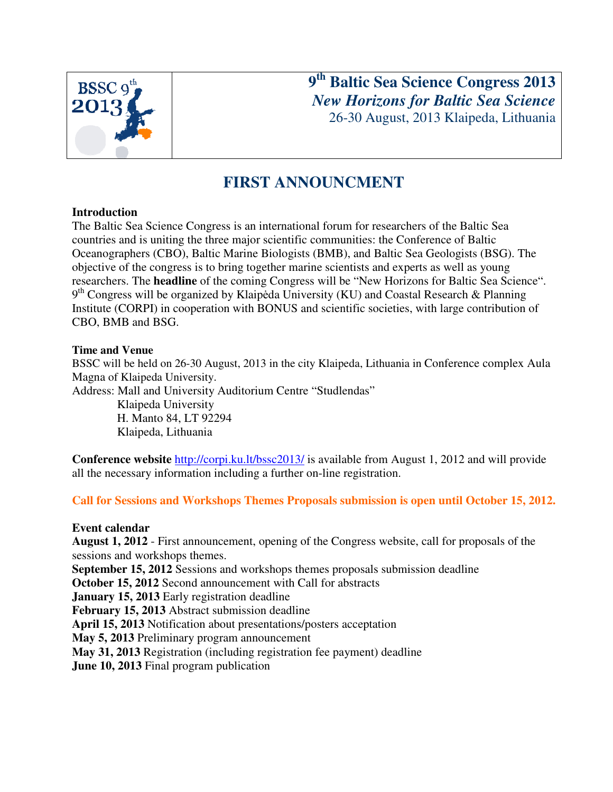

**9 th Baltic Sea Science Congress 2013** *New Horizons for Baltic Sea Science* 26-30 August, 2013 Klaipeda, Lithuania

# **FIRST ANNOUNCMENT**

### **Introduction**

The Baltic Sea Science Congress is an international forum for researchers of the Baltic Sea countries and is uniting the three major scientific communities: the Conference of Baltic Oceanographers (CBO), Baltic Marine Biologists (BMB), and Baltic Sea Geologists (BSG). The objective of the congress is to bring together marine scientists and experts as well as young researchers. The **headline** of the coming Congress will be "New Horizons for Baltic Sea Science". 9<sup>th</sup> Congress will be organized by Klaipėda University (KU) and Coastal Research & Planning Institute (CORPI) in cooperation with BONUS and scientific societies, with large contribution of CBO, BMB and BSG.

### **Time and Venue**

BSSC will be held on 26-30 August, 2013 in the city Klaipeda, Lithuania in Conference complex Aula Magna of Klaipeda University.

Address: Mall and University Auditorium Centre "Studlendas"

Klaipeda University H. Manto 84, LT 92294 Klaipeda, Lithuania

**Conference website** http://corpi.ku.lt/bssc2013/ is available from August 1, 2012 and will provide all the necessary information including a further on-line registration.

**Call for Sessions and Workshops Themes Proposals submission is open until October 15, 2012.** 

### **Event calendar**

**August 1, 2012** - First announcement, opening of the Congress website, call for proposals of the sessions and workshops themes.

**September 15, 2012** Sessions and workshops themes proposals submission deadline

**October 15, 2012** Second announcement with Call for abstracts

**January 15, 2013** Early registration deadline

**February 15, 2013** Abstract submission deadline

**April 15, 2013** Notification about presentations/posters acceptation

**May 5, 2013** Preliminary program announcement

**May 31, 2013** Registration (including registration fee payment) deadline

**June 10, 2013** Final program publication